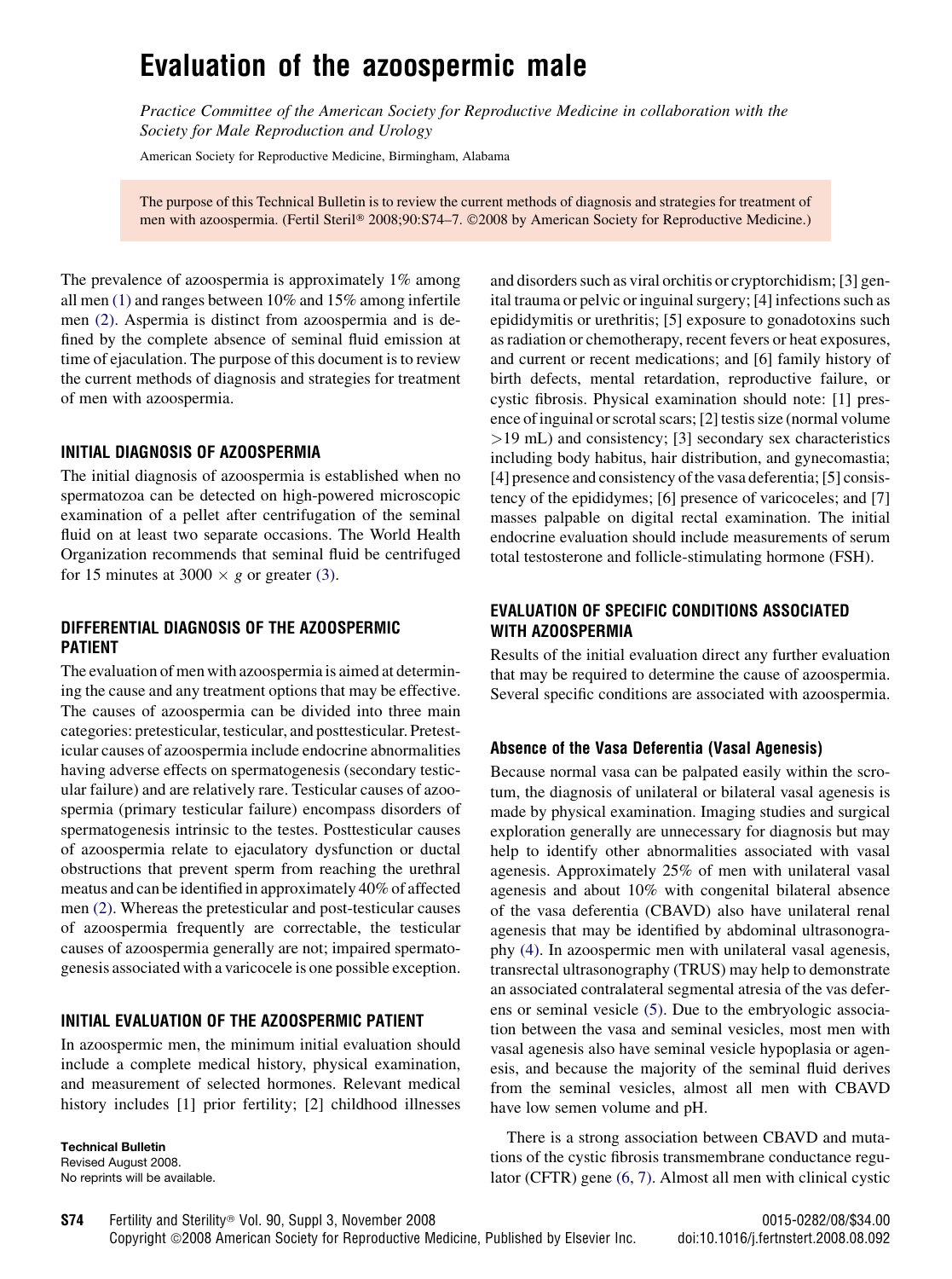# Evaluation of the azoospermic male

Practice Committee of the American Society for Reproductive Medicine in collaboration with the Society for Male Reproduction and Urology

American Society for Reproductive Medicine, Birmingham, Alabama

The purpose of this Technical Bulletin is to review the current methods of diagnosis and strategies for treatment of men with azoospermia. (Fertil Steril® 2008;90:S74-7. ©2008 by American Society for Reproductive Medicine.)

The prevalence of azoospermia is approximately 1% among all men [\(1\)](#page-3-0) and ranges between 10% and 15% among infertile men [\(2\)](#page-3-0). Aspermia is distinct from azoospermia and is defined by the complete absence of seminal fluid emission at time of ejaculation. The purpose of this document is to review the current methods of diagnosis and strategies for treatment of men with azoospermia.

#### INITIAL DIAGNOSIS OF AZOOSPERMIA

The initial diagnosis of azoospermia is established when no spermatozoa can be detected on high-powered microscopic examination of a pellet after centrifugation of the seminal fluid on at least two separate occasions. The World Health Organization recommends that seminal fluid be centrifuged for 15 minutes at 3000  $\times$  g or greater [\(3\).](#page-3-0)

### DIFFERENTIAL DIAGNOSIS OF THE AZOOSPERMIC PATIENT

The evaluation of men with azoospermia is aimed at determining the cause and any treatment options that may be effective. The causes of azoospermia can be divided into three main categories: pretesticular, testicular, and posttesticular. Pretesticular causes of azoospermia include endocrine abnormalities having adverse effects on spermatogenesis (secondary testicular failure) and are relatively rare. Testicular causes of azoospermia (primary testicular failure) encompass disorders of spermatogenesis intrinsic to the testes. Posttesticular causes of azoospermia relate to ejaculatory dysfunction or ductal obstructions that prevent sperm from reaching the urethral meatus and can be identified in approximately 40% of affected men [\(2\)](#page-3-0). Whereas the pretesticular and post-testicular causes of azoospermia frequently are correctable, the testicular causes of azoospermia generally are not; impaired spermatogenesis associated with a varicocele is one possible exception.

## INITIAL EVALUATION OF THE AZOOSPERMIC PATIENT

In azoospermic men, the minimum initial evaluation should include a complete medical history, physical examination, and measurement of selected hormones. Relevant medical history includes [1] prior fertility; [2] childhood illnesses

Technical Bulletin Revised August 2008. No reprints will be available. and disorders such as viral orchitis or cryptorchidism; [3] genital trauma or pelvic or inguinal surgery; [4] infections such as epididymitis or urethritis; [5] exposure to gonadotoxins such as radiation or chemotherapy, recent fevers or heat exposures, and current or recent medications; and [6] family history of birth defects, mental retardation, reproductive failure, or cystic fibrosis. Physical examination should note: [1] presence of inguinal or scrotal scars; [2] testis size (normal volume >19 mL) and consistency; [3] secondary sex characteristics including body habitus, hair distribution, and gynecomastia; [4] presence and consistency of the vasa deferentia; [5] consistency of the epididymes; [6] presence of varicoceles; and [7] masses palpable on digital rectal examination. The initial endocrine evaluation should include measurements of serum total testosterone and follicle-stimulating hormone (FSH).

## EVALUATION OF SPECIFIC CONDITIONS ASSOCIATED WITH AZOOSPERMIA

Results of the initial evaluation direct any further evaluation that may be required to determine the cause of azoospermia. Several specific conditions are associated with azoospermia.

#### Absence of the Vasa Deferentia (Vasal Agenesis)

Because normal vasa can be palpated easily within the scrotum, the diagnosis of unilateral or bilateral vasal agenesis is made by physical examination. Imaging studies and surgical exploration generally are unnecessary for diagnosis but may help to identify other abnormalities associated with vasal agenesis. Approximately 25% of men with unilateral vasal agenesis and about 10% with congenital bilateral absence of the vasa deferentia (CBAVD) also have unilateral renal agenesis that may be identified by abdominal ultrasonography [\(4\).](#page-3-0) In azoospermic men with unilateral vasal agenesis, transrectal ultrasonography (TRUS) may help to demonstrate an associated contralateral segmental atresia of the vas deferens or seminal vesicle [\(5\)](#page-3-0). Due to the embryologic association between the vasa and seminal vesicles, most men with vasal agenesis also have seminal vesicle hypoplasia or agenesis, and because the majority of the seminal fluid derives from the seminal vesicles, almost all men with CBAVD have low semen volume and pH.

There is a strong association between CBAVD and mutations of the cystic fibrosis transmembrane conductance regulator (CFTR) gene [\(6, 7\).](#page-3-0) Almost all men with clinical cystic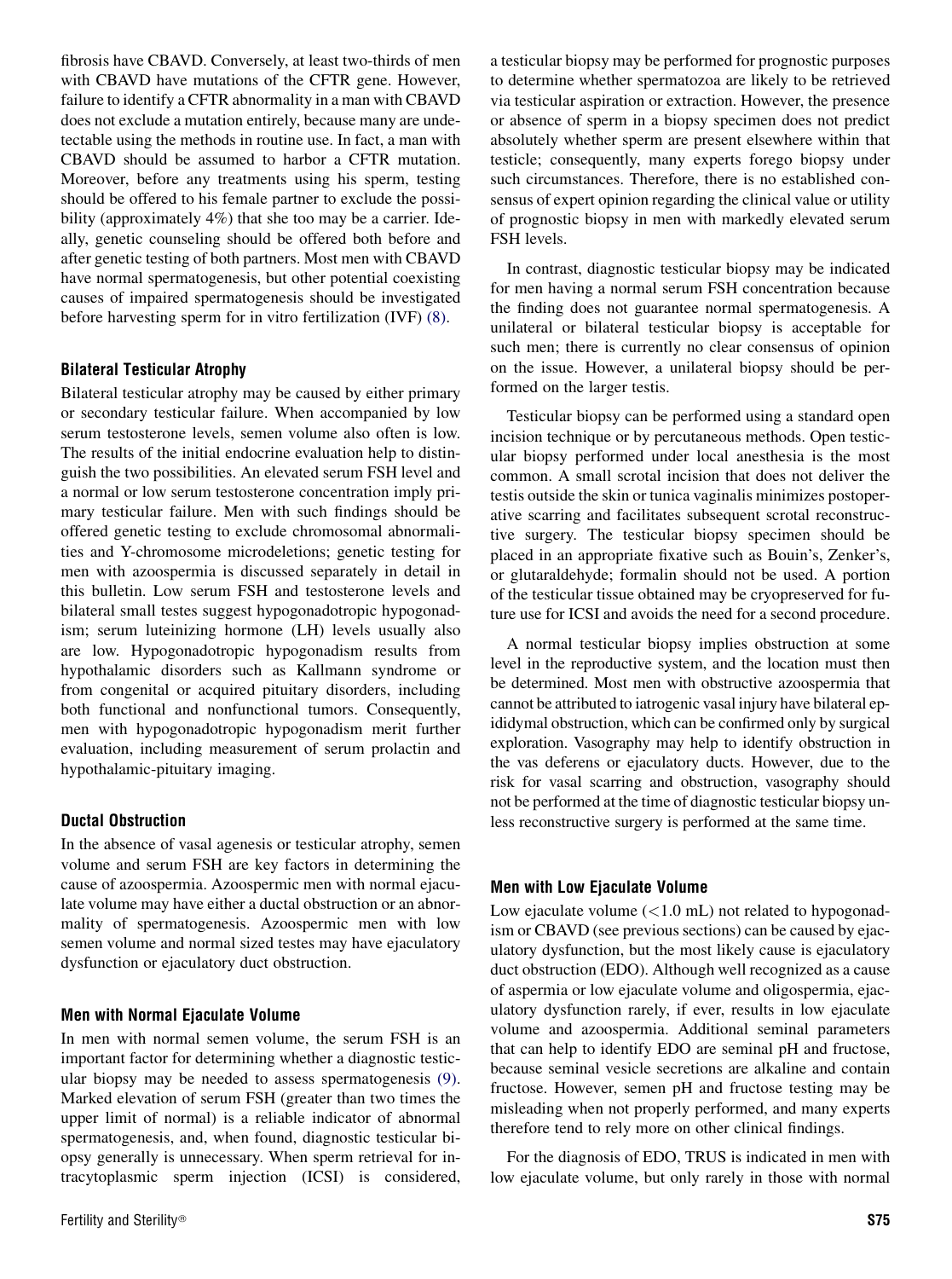fibrosis have CBAVD. Conversely, at least two-thirds of men with CBAVD have mutations of the CFTR gene. However, failure to identify a CFTR abnormality in a man with CBAVD does not exclude a mutation entirely, because many are undetectable using the methods in routine use. In fact, a man with CBAVD should be assumed to harbor a CFTR mutation. Moreover, before any treatments using his sperm, testing should be offered to his female partner to exclude the possibility (approximately 4%) that she too may be a carrier. Ideally, genetic counseling should be offered both before and after genetic testing of both partners. Most men with CBAVD have normal spermatogenesis, but other potential coexisting causes of impaired spermatogenesis should be investigated before harvesting sperm for in vitro fertilization (IVF) [\(8\)](#page-3-0).

#### Bilateral Testicular Atrophy

Bilateral testicular atrophy may be caused by either primary or secondary testicular failure. When accompanied by low serum testosterone levels, semen volume also often is low. The results of the initial endocrine evaluation help to distinguish the two possibilities. An elevated serum FSH level and a normal or low serum testosterone concentration imply primary testicular failure. Men with such findings should be offered genetic testing to exclude chromosomal abnormalities and Y-chromosome microdeletions; genetic testing for men with azoospermia is discussed separately in detail in this bulletin. Low serum FSH and testosterone levels and bilateral small testes suggest hypogonadotropic hypogonadism; serum luteinizing hormone (LH) levels usually also are low. Hypogonadotropic hypogonadism results from hypothalamic disorders such as Kallmann syndrome or from congenital or acquired pituitary disorders, including both functional and nonfunctional tumors. Consequently, men with hypogonadotropic hypogonadism merit further evaluation, including measurement of serum prolactin and hypothalamic-pituitary imaging.

#### Ductal Obstruction

In the absence of vasal agenesis or testicular atrophy, semen volume and serum FSH are key factors in determining the cause of azoospermia. Azoospermic men with normal ejaculate volume may have either a ductal obstruction or an abnormality of spermatogenesis. Azoospermic men with low semen volume and normal sized testes may have ejaculatory dysfunction or ejaculatory duct obstruction.

#### Men with Normal Ejaculate Volume

In men with normal semen volume, the serum FSH is an important factor for determining whether a diagnostic testicular biopsy may be needed to assess spermatogenesis [\(9\)](#page-3-0). Marked elevation of serum FSH (greater than two times the upper limit of normal) is a reliable indicator of abnormal spermatogenesis, and, when found, diagnostic testicular biopsy generally is unnecessary. When sperm retrieval for intracytoplasmic sperm injection (ICSI) is considered,

a testicular biopsy may be performed for prognostic purposes to determine whether spermatozoa are likely to be retrieved via testicular aspiration or extraction. However, the presence or absence of sperm in a biopsy specimen does not predict absolutely whether sperm are present elsewhere within that testicle; consequently, many experts forego biopsy under such circumstances. Therefore, there is no established consensus of expert opinion regarding the clinical value or utility of prognostic biopsy in men with markedly elevated serum FSH levels.

In contrast, diagnostic testicular biopsy may be indicated for men having a normal serum FSH concentration because the finding does not guarantee normal spermatogenesis. A unilateral or bilateral testicular biopsy is acceptable for such men; there is currently no clear consensus of opinion on the issue. However, a unilateral biopsy should be performed on the larger testis.

Testicular biopsy can be performed using a standard open incision technique or by percutaneous methods. Open testicular biopsy performed under local anesthesia is the most common. A small scrotal incision that does not deliver the testis outside the skin or tunica vaginalis minimizes postoperative scarring and facilitates subsequent scrotal reconstructive surgery. The testicular biopsy specimen should be placed in an appropriate fixative such as Bouin's, Zenker's, or glutaraldehyde; formalin should not be used. A portion of the testicular tissue obtained may be cryopreserved for future use for ICSI and avoids the need for a second procedure.

A normal testicular biopsy implies obstruction at some level in the reproductive system, and the location must then be determined. Most men with obstructive azoospermia that cannot be attributed to iatrogenic vasal injury have bilateral epididymal obstruction, which can be confirmed only by surgical exploration. Vasography may help to identify obstruction in the vas deferens or ejaculatory ducts. However, due to the risk for vasal scarring and obstruction, vasography should not be performed at the time of diagnostic testicular biopsy unless reconstructive surgery is performed at the same time.

#### Men with Low Ejaculate Volume

Low ejaculate volume  $(<1.0$  mL) not related to hypogonadism or CBAVD (see previous sections) can be caused by ejaculatory dysfunction, but the most likely cause is ejaculatory duct obstruction (EDO). Although well recognized as a cause of aspermia or low ejaculate volume and oligospermia, ejaculatory dysfunction rarely, if ever, results in low ejaculate volume and azoospermia. Additional seminal parameters that can help to identify EDO are seminal pH and fructose, because seminal vesicle secretions are alkaline and contain fructose. However, semen pH and fructose testing may be misleading when not properly performed, and many experts therefore tend to rely more on other clinical findings.

For the diagnosis of EDO, TRUS is indicated in men with low ejaculate volume, but only rarely in those with normal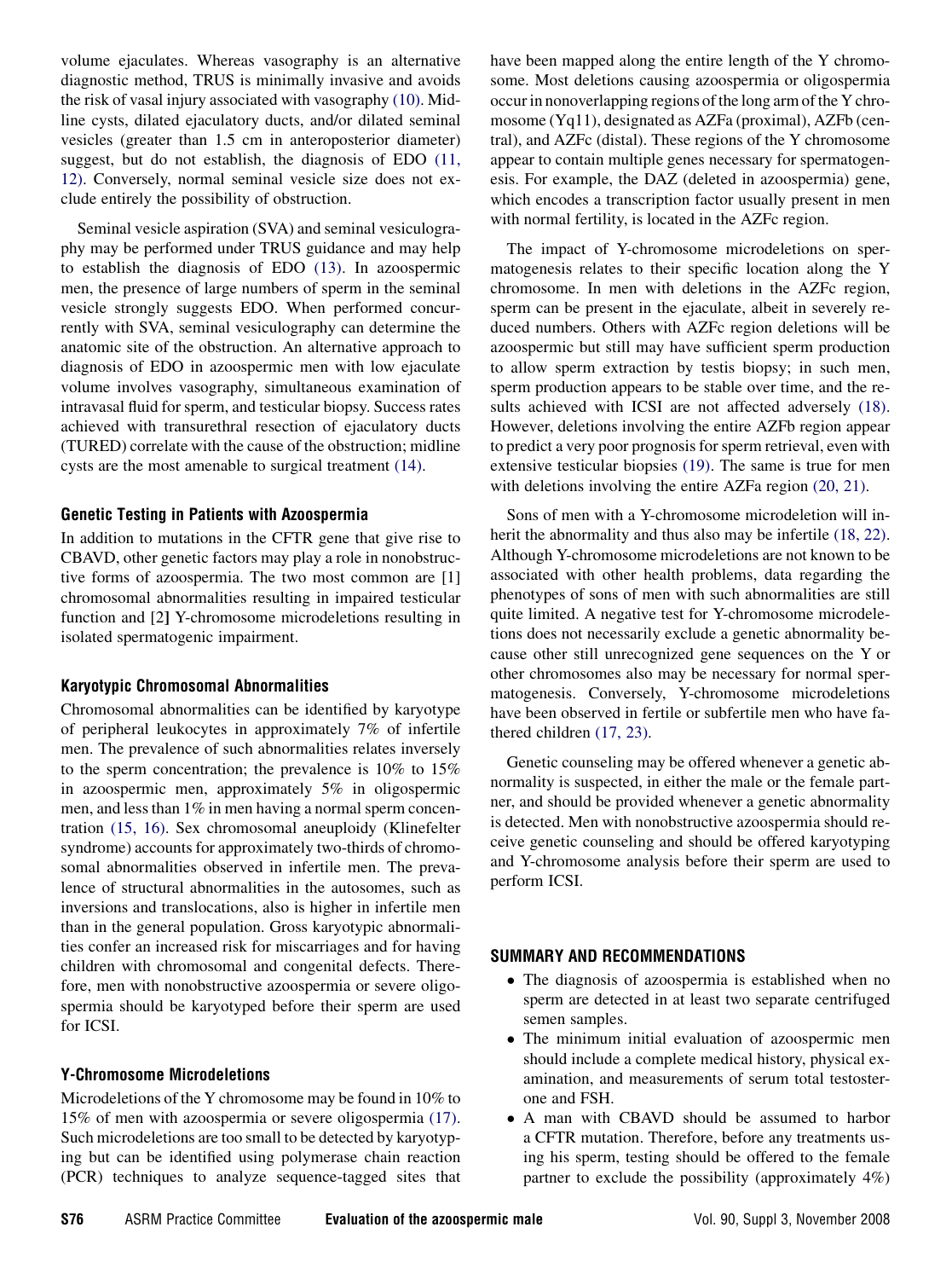volume ejaculates. Whereas vasography is an alternative diagnostic method, TRUS is minimally invasive and avoids the risk of vasal injury associated with vasography [\(10\)](#page-3-0). Midline cysts, dilated ejaculatory ducts, and/or dilated seminal vesicles (greater than 1.5 cm in anteroposterior diameter) suggest, but do not establish, the diagnosis of EDO [\(11,](#page-3-0) [12\)](#page-3-0). Conversely, normal seminal vesicle size does not exclude entirely the possibility of obstruction.

Seminal vesicle aspiration (SVA) and seminal vesiculography may be performed under TRUS guidance and may help to establish the diagnosis of EDO [\(13\).](#page-3-0) In azoospermic men, the presence of large numbers of sperm in the seminal vesicle strongly suggests EDO. When performed concurrently with SVA, seminal vesiculography can determine the anatomic site of the obstruction. An alternative approach to diagnosis of EDO in azoospermic men with low ejaculate volume involves vasography, simultaneous examination of intravasal fluid for sperm, and testicular biopsy. Success rates achieved with transurethral resection of ejaculatory ducts (TURED) correlate with the cause of the obstruction; midline cysts are the most amenable to surgical treatment [\(14\).](#page-3-0)

#### Genetic Testing in Patients with Azoospermia

In addition to mutations in the CFTR gene that give rise to CBAVD, other genetic factors may play a role in nonobstructive forms of azoospermia. The two most common are [1] chromosomal abnormalities resulting in impaired testicular function and [2] Y-chromosome microdeletions resulting in isolated spermatogenic impairment.

#### Karyotypic Chromosomal Abnormalities

Chromosomal abnormalities can be identified by karyotype of peripheral leukocytes in approximately 7% of infertile men. The prevalence of such abnormalities relates inversely to the sperm concentration; the prevalence is 10% to 15% in azoospermic men, approximately 5% in oligospermic men, and less than 1% in men having a normal sperm concentration [\(15, 16\)](#page-3-0). Sex chromosomal aneuploidy (Klinefelter syndrome) accounts for approximately two-thirds of chromosomal abnormalities observed in infertile men. The prevalence of structural abnormalities in the autosomes, such as inversions and translocations, also is higher in infertile men than in the general population. Gross karyotypic abnormalities confer an increased risk for miscarriages and for having children with chromosomal and congenital defects. Therefore, men with nonobstructive azoospermia or severe oligospermia should be karyotyped before their sperm are used for ICSI.

## Y-Chromosome Microdeletions

Microdeletions of the Y chromosome may be found in 10% to 15% of men with azoospermia or severe oligospermia [\(17\)](#page-3-0). Such microdeletions are too small to be detected by karyotyping but can be identified using polymerase chain reaction (PCR) techniques to analyze sequence-tagged sites that have been mapped along the entire length of the Y chromosome. Most deletions causing azoospermia or oligospermia occur in nonoverlapping regions of the long arm of the Y chromosome (Yq11), designated as AZFa (proximal), AZFb (central), and AZFc (distal). These regions of the Y chromosome appear to contain multiple genes necessary for spermatogenesis. For example, the DAZ (deleted in azoospermia) gene, which encodes a transcription factor usually present in men with normal fertility, is located in the AZFc region.

The impact of Y-chromosome microdeletions on spermatogenesis relates to their specific location along the Y chromosome. In men with deletions in the AZFc region, sperm can be present in the ejaculate, albeit in severely reduced numbers. Others with AZFc region deletions will be azoospermic but still may have sufficient sperm production to allow sperm extraction by testis biopsy; in such men, sperm production appears to be stable over time, and the results achieved with ICSI are not affected adversely [\(18\)](#page-3-0). However, deletions involving the entire AZFb region appear to predict a very poor prognosis for sperm retrieval, even with extensive testicular biopsies [\(19\)](#page-3-0). The same is true for men with deletions involving the entire AZFa region [\(20, 21\)](#page-3-0).

Sons of men with a Y-chromosome microdeletion will inherit the abnormality and thus also may be infertile [\(18, 22\)](#page-3-0). Although Y-chromosome microdeletions are not known to be associated with other health problems, data regarding the phenotypes of sons of men with such abnormalities are still quite limited. A negative test for Y-chromosome microdeletions does not necessarily exclude a genetic abnormality because other still unrecognized gene sequences on the Y or other chromosomes also may be necessary for normal spermatogenesis. Conversely, Y-chromosome microdeletions have been observed in fertile or subfertile men who have fathered children [\(17, 23\)](#page-3-0).

Genetic counseling may be offered whenever a genetic abnormality is suspected, in either the male or the female partner, and should be provided whenever a genetic abnormality is detected. Men with nonobstructive azoospermia should receive genetic counseling and should be offered karyotyping and Y-chromosome analysis before their sperm are used to perform ICSI.

## SUMMARY AND RECOMMENDATIONS

- The diagnosis of azoospermia is established when no sperm are detected in at least two separate centrifuged semen samples.
- The minimum initial evaluation of azoospermic men should include a complete medical history, physical examination, and measurements of serum total testosterone and FSH.
- A man with CBAVD should be assumed to harbor a CFTR mutation. Therefore, before any treatments using his sperm, testing should be offered to the female partner to exclude the possibility (approximately 4%)